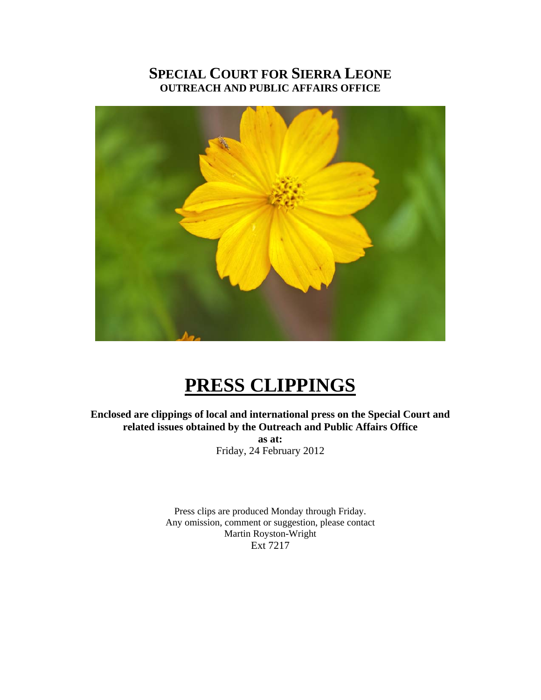# **SPECIAL COURT FOR SIERRA LEONE OUTREACH AND PUBLIC AFFAIRS OFFICE**



# **PRESS CLIPPINGS**

**Enclosed are clippings of local and international press on the Special Court and related issues obtained by the Outreach and Public Affairs Office as at:**  Friday, 24 February 2012

> Press clips are produced Monday through Friday. Any omission, comment or suggestion, please contact Martin Royston-Wright Ext 7217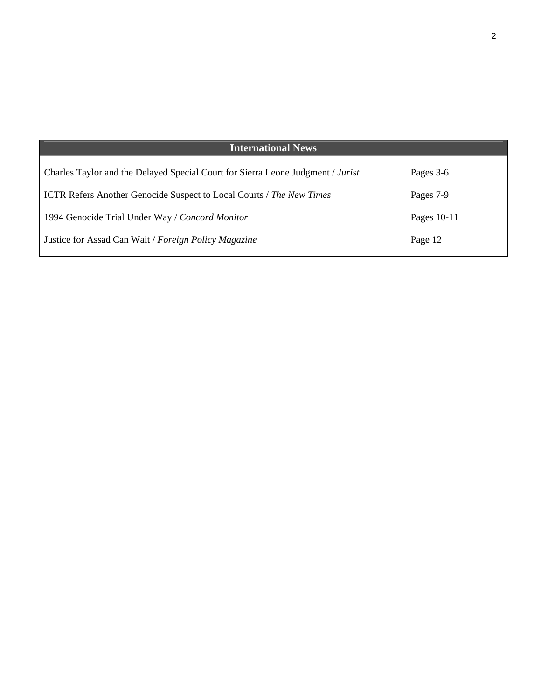| <b>International News</b>                                                       |             |
|---------------------------------------------------------------------------------|-------------|
| Charles Taylor and the Delayed Special Court for Sierra Leone Judgment / Jurist | Pages 3-6   |
| <b>ICTR Refers Another Genocide Suspect to Local Courts / The New Times</b>     | Pages 7-9   |
| 1994 Genocide Trial Under Way / Concord Monitor                                 | Pages 10-11 |
| Justice for Assad Can Wait / Foreign Policy Magazine                            | Page 12     |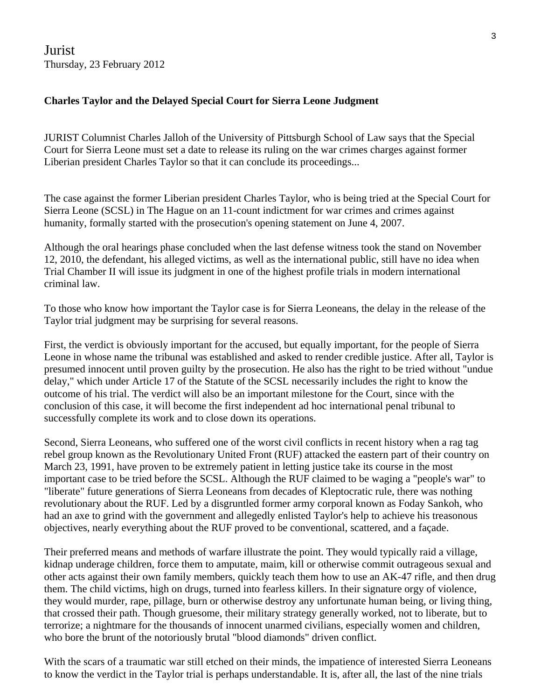Jurist Thursday, 23 February 2012

#### **Charles Taylor and the Delayed Special Court for Sierra Leone Judgment**

JURIST Columnist Charles Jalloh of the University of Pittsburgh School of Law says that the Special Court for Sierra Leone must set a date to release its ruling on the war crimes charges against former Liberian president Charles Taylor so that it can conclude its proceedings...

The case against the former Liberian president Charles Taylor, who is being tried at the Special Court for Sierra Leone (SCSL) in The Hague on an 11-count indictment for war crimes and crimes against humanity, formally started with the prosecution's opening statement on June 4, 2007.

Although the oral hearings phase concluded when the last defense witness took the stand on November 12, 2010, the defendant, his alleged victims, as well as the international public, still have no idea when Trial Chamber II will issue its judgment in one of the highest profile trials in modern international criminal law.

To those who know how important the Taylor case is for Sierra Leoneans, the delay in the release of the Taylor trial judgment may be surprising for several reasons.

First, the verdict is obviously important for the accused, but equally important, for the people of Sierra Leone in whose name the tribunal was established and asked to render credible justice. After all, Taylor is presumed innocent until proven guilty by the prosecution. He also has the right to be tried without "undue delay," which under Article 17 of the Statute of the SCSL necessarily includes the right to know the outcome of his trial. The verdict will also be an important milestone for the Court, since with the conclusion of this case, it will become the first independent ad hoc international penal tribunal to successfully complete its work and to close down its operations.

Second, Sierra Leoneans, who suffered one of the worst civil conflicts in recent history when a rag tag rebel group known as the Revolutionary United Front (RUF) attacked the eastern part of their country on March 23, 1991, have proven to be extremely patient in letting justice take its course in the most important case to be tried before the SCSL. Although the RUF claimed to be waging a "people's war" to "liberate" future generations of Sierra Leoneans from decades of Kleptocratic rule, there was nothing revolutionary about the RUF. Led by a disgruntled former army corporal known as Foday Sankoh, who had an axe to grind with the government and allegedly enlisted Taylor's help to achieve his treasonous objectives, nearly everything about the RUF proved to be conventional, scattered, and a façade.

Their preferred means and methods of warfare illustrate the point. They would typically raid a village, kidnap underage children, force them to amputate, maim, kill or otherwise commit outrageous sexual and other acts against their own family members, quickly teach them how to use an AK-47 rifle, and then drug them. The child victims, high on drugs, turned into fearless killers. In their signature orgy of violence, they would murder, rape, pillage, burn or otherwise destroy any unfortunate human being, or living thing, that crossed their path. Though gruesome, their military strategy generally worked, not to liberate, but to terrorize; a nightmare for the thousands of innocent unarmed civilians, especially women and children, who bore the brunt of the notoriously brutal "blood diamonds" driven conflict.

With the scars of a traumatic war still etched on their minds, the impatience of interested Sierra Leoneans to know the verdict in the Taylor trial is perhaps understandable. It is, after all, the last of the nine trials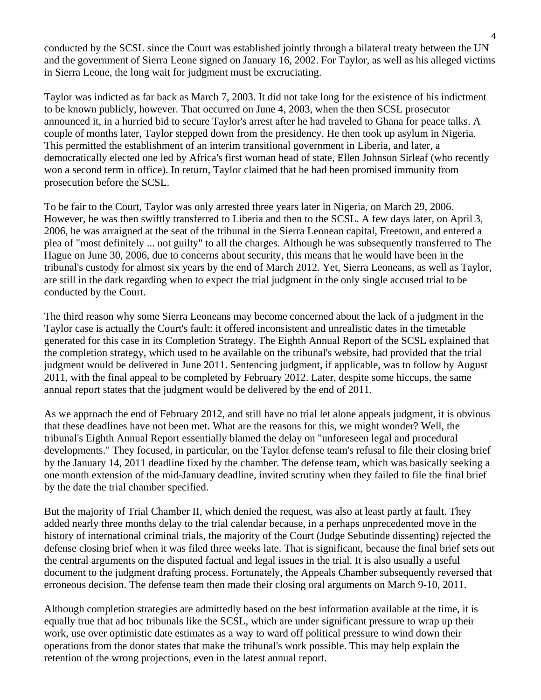conducted by the SCSL since the Court was established jointly through a bilateral treaty between the UN and the government of Sierra Leone signed on January 16, 2002. For Taylor, as well as his alleged victims in Sierra Leone, the long wait for judgment must be excruciating.

Taylor was indicted as far back as March 7, 2003. It did not take long for the existence of his indictment to be known publicly, however. That occurred on June 4, 2003, when the then SCSL prosecutor announced it, in a hurried bid to secure Taylor's arrest after he had traveled to Ghana for peace talks. A couple of months later, Taylor stepped down from the presidency. He then took up asylum in Nigeria. This permitted the establishment of an interim transitional government in Liberia, and later, a democratically elected one led by Africa's first woman head of state, Ellen Johnson Sirleaf (who recently won a second term in office). In return, Taylor claimed that he had been promised immunity from prosecution before the SCSL.

To be fair to the Court, Taylor was only arrested three years later in Nigeria, on March 29, 2006. However, he was then swiftly transferred to Liberia and then to the SCSL. A few days later, on April 3, 2006, he was arraigned at the seat of the tribunal in the Sierra Leonean capital, Freetown, and entered a plea of "most definitely ... not guilty" to all the charges. Although he was subsequently transferred to The Hague on June 30, 2006, due to concerns about security, this means that he would have been in the tribunal's custody for almost six years by the end of March 2012. Yet, Sierra Leoneans, as well as Taylor, are still in the dark regarding when to expect the trial judgment in the only single accused trial to be conducted by the Court.

The third reason why some Sierra Leoneans may become concerned about the lack of a judgment in the Taylor case is actually the Court's fault: it offered inconsistent and unrealistic dates in the timetable generated for this case in its Completion Strategy. The Eighth Annual Report of the SCSL explained that the completion strategy, which used to be available on the tribunal's website, had provided that the trial judgment would be delivered in June 2011. Sentencing judgment, if applicable, was to follow by August 2011, with the final appeal to be completed by February 2012. Later, despite some hiccups, the same annual report states that the judgment would be delivered by the end of 2011.

As we approach the end of February 2012, and still have no trial let alone appeals judgment, it is obvious that these deadlines have not been met. What are the reasons for this, we might wonder? Well, the tribunal's Eighth Annual Report essentially blamed the delay on "unforeseen legal and procedural developments." They focused, in particular, on the Taylor defense team's refusal to file their closing brief by the January 14, 2011 deadline fixed by the chamber. The defense team, which was basically seeking a one month extension of the mid-January deadline, invited scrutiny when they failed to file the final brief by the date the trial chamber specified.

But the majority of Trial Chamber II, which denied the request, was also at least partly at fault. They added nearly three months delay to the trial calendar because, in a perhaps unprecedented move in the history of international criminal trials, the majority of the Court (Judge Sebutinde dissenting) rejected the defense closing brief when it was filed three weeks late. That is significant, because the final brief sets out the central arguments on the disputed factual and legal issues in the trial. It is also usually a useful document to the judgment drafting process. Fortunately, the Appeals Chamber subsequently reversed that erroneous decision. The defense team then made their closing oral arguments on March 9-10, 2011.

Although completion strategies are admittedly based on the best information available at the time, it is equally true that ad hoc tribunals like the SCSL, which are under significant pressure to wrap up their work, use over optimistic date estimates as a way to ward off political pressure to wind down their operations from the donor states that make the tribunal's work possible. This may help explain the retention of the wrong projections, even in the latest annual report.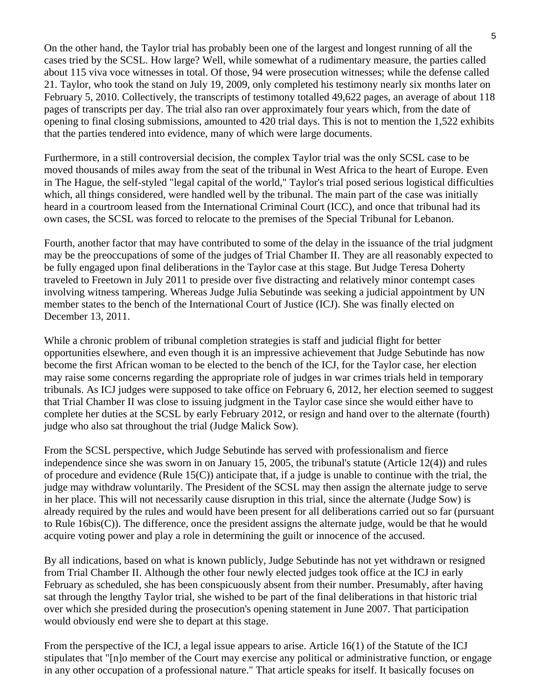On the other hand, the Taylor trial has probably been one of the largest and longest running of all the cases tried by the SCSL. How large? Well, while somewhat of a rudimentary measure, the parties called about 115 viva voce witnesses in total. Of those, 94 were prosecution witnesses; while the defense called 21. Taylor, who took the stand on July 19, 2009, only completed his testimony nearly six months later on February 5, 2010. Collectively, the transcripts of testimony totalled 49,622 pages, an average of about 118 pages of transcripts per day. The trial also ran over approximately four years which, from the date of opening to final closing submissions, amounted to 420 trial days. This is not to mention the 1,522 exhibits that the parties tendered into evidence, many of which were large documents.

Furthermore, in a still controversial decision, the complex Taylor trial was the only SCSL case to be moved thousands of miles away from the seat of the tribunal in West Africa to the heart of Europe. Even in The Hague, the self-styled "legal capital of the world," Taylor's trial posed serious logistical difficulties which, all things considered, were handled well by the tribunal. The main part of the case was initially heard in a courtroom leased from the International Criminal Court (ICC), and once that tribunal had its own cases, the SCSL was forced to relocate to the premises of the Special Tribunal for Lebanon.

Fourth, another factor that may have contributed to some of the delay in the issuance of the trial judgment may be the preoccupations of some of the judges of Trial Chamber II. They are all reasonably expected to be fully engaged upon final deliberations in the Taylor case at this stage. But Judge Teresa Doherty traveled to Freetown in July 2011 to preside over five distracting and relatively minor contempt cases involving witness tampering. Whereas Judge Julia Sebutinde was seeking a judicial appointment by UN member states to the bench of the International Court of Justice (ICJ). She was finally elected on December 13, 2011.

While a chronic problem of tribunal completion strategies is staff and judicial flight for better opportunities elsewhere, and even though it is an impressive achievement that Judge Sebutinde has now become the first African woman to be elected to the bench of the ICJ, for the Taylor case, her election may raise some concerns regarding the appropriate role of judges in war crimes trials held in temporary tribunals. As ICJ judges were supposed to take office on February 6, 2012, her election seemed to suggest that Trial Chamber II was close to issuing judgment in the Taylor case since she would either have to complete her duties at the SCSL by early February 2012, or resign and hand over to the alternate (fourth) judge who also sat throughout the trial (Judge Malick Sow).

From the SCSL perspective, which Judge Sebutinde has served with professionalism and fierce independence since she was sworn in on January 15, 2005, the tribunal's statute (Article 12(4)) and rules of procedure and evidence (Rule  $15(C)$ ) anticipate that, if a judge is unable to continue with the trial, the judge may withdraw voluntarily. The President of the SCSL may then assign the alternate judge to serve in her place. This will not necessarily cause disruption in this trial, since the alternate (Judge Sow) is already required by the rules and would have been present for all deliberations carried out so far (pursuant to Rule 16bis(C)). The difference, once the president assigns the alternate judge, would be that he would acquire voting power and play a role in determining the guilt or innocence of the accused.

By all indications, based on what is known publicly, Judge Sebutinde has not yet withdrawn or resigned from Trial Chamber II. Although the other four newly elected judges took office at the ICJ in early February as scheduled, she has been conspicuously absent from their number. Presumably, after having sat through the lengthy Taylor trial, she wished to be part of the final deliberations in that historic trial over which she presided during the prosecution's opening statement in June 2007. That participation would obviously end were she to depart at this stage.

From the perspective of the ICJ, a legal issue appears to arise. Article 16(1) of the Statute of the ICJ stipulates that "[n]o member of the Court may exercise any political or administrative function, or engage in any other occupation of a professional nature." That article speaks for itself. It basically focuses on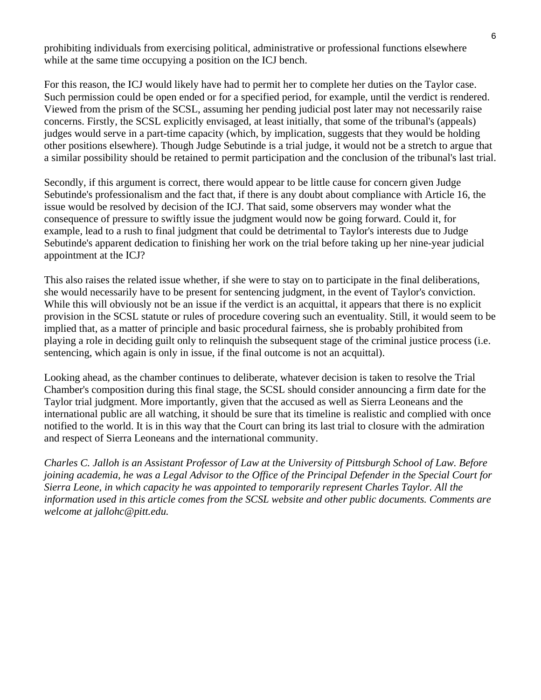prohibiting individuals from exercising political, administrative or professional functions elsewhere while at the same time occupying a position on the ICJ bench.

For this reason, the ICJ would likely have had to permit her to complete her duties on the Taylor case. Such permission could be open ended or for a specified period, for example, until the verdict is rendered. Viewed from the prism of the SCSL, assuming her pending judicial post later may not necessarily raise concerns. Firstly, the SCSL explicitly envisaged, at least initially, that some of the tribunal's (appeals) judges would serve in a part-time capacity (which, by implication, suggests that they would be holding other positions elsewhere). Though Judge Sebutinde is a trial judge, it would not be a stretch to argue that a similar possibility should be retained to permit participation and the conclusion of the tribunal's last trial.

Secondly, if this argument is correct, there would appear to be little cause for concern given Judge Sebutinde's professionalism and the fact that, if there is any doubt about compliance with Article 16, the issue would be resolved by decision of the ICJ. That said, some observers may wonder what the consequence of pressure to swiftly issue the judgment would now be going forward. Could it, for example, lead to a rush to final judgment that could be detrimental to Taylor's interests due to Judge Sebutinde's apparent dedication to finishing her work on the trial before taking up her nine-year judicial appointment at the ICJ?

This also raises the related issue whether, if she were to stay on to participate in the final deliberations, she would necessarily have to be present for sentencing judgment, in the event of Taylor's conviction. While this will obviously not be an issue if the verdict is an acquittal, it appears that there is no explicit provision in the SCSL statute or rules of procedure covering such an eventuality. Still, it would seem to be implied that, as a matter of principle and basic procedural fairness, she is probably prohibited from playing a role in deciding guilt only to relinquish the subsequent stage of the criminal justice process (i.e. sentencing, which again is only in issue, if the final outcome is not an acquittal).

Looking ahead, as the chamber continues to deliberate, whatever decision is taken to resolve the Trial Chamber's composition during this final stage, the SCSL should consider announcing a firm date for the Taylor trial judgment. More importantly, given that the accused as well as Sierra Leoneans and the international public are all watching, it should be sure that its timeline is realistic and complied with once notified to the world. It is in this way that the Court can bring its last trial to closure with the admiration and respect of Sierra Leoneans and the international community.

*Charles C. Jalloh is an Assistant Professor of Law at the University of Pittsburgh School of Law. Before joining academia, he was a Legal Advisor to the Office of the Principal Defender in the Special Court for Sierra Leone, in which capacity he was appointed to temporarily represent Charles Taylor. All the information used in this article comes from the SCSL website and other public documents. Comments are welcome at jallohc@pitt.edu.*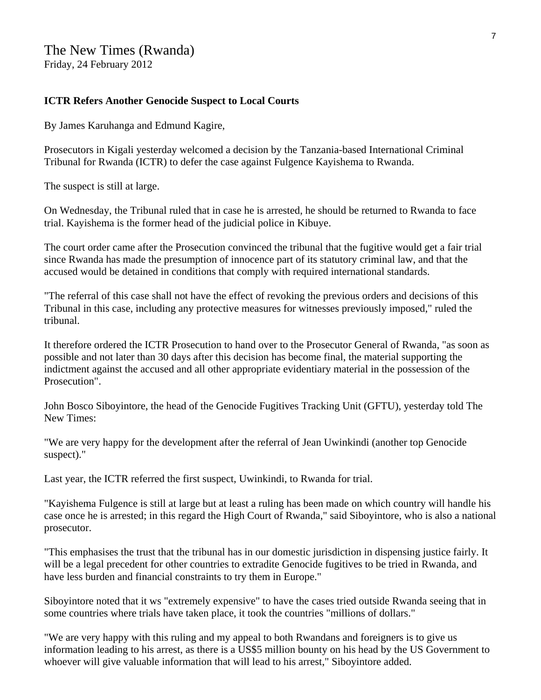## The New Times (Rwanda) Friday, 24 February 2012

#### **ICTR Refers Another Genocide Suspect to Local Courts**

By James Karuhanga and Edmund Kagire,

Prosecutors in Kigali yesterday welcomed a decision by the Tanzania-based International Criminal Tribunal for Rwanda (ICTR) to defer the case against Fulgence Kayishema to Rwanda.

The suspect is still at large.

On Wednesday, the Tribunal ruled that in case he is arrested, he should be returned to Rwanda to face trial. Kayishema is the former head of the judicial police in Kibuye.

The court order came after the Prosecution convinced the tribunal that the fugitive would get a fair trial since Rwanda has made the presumption of innocence part of its statutory criminal law, and that the accused would be detained in conditions that comply with required international standards.

"The referral of this case shall not have the effect of revoking the previous orders and decisions of this Tribunal in this case, including any protective measures for witnesses previously imposed," ruled the tribunal.

It therefore ordered the ICTR Prosecution to hand over to the Prosecutor General of Rwanda, "as soon as possible and not later than 30 days after this decision has become final, the material supporting the indictment against the accused and all other appropriate evidentiary material in the possession of the Prosecution".

John Bosco Siboyintore, the head of the Genocide Fugitives Tracking Unit (GFTU), yesterday told The New Times:

"We are very happy for the development after the referral of Jean Uwinkindi (another top Genocide suspect)."

Last year, the ICTR referred the first suspect, Uwinkindi, to Rwanda for trial.

"Kayishema Fulgence is still at large but at least a ruling has been made on which country will handle his case once he is arrested; in this regard the High Court of Rwanda," said Siboyintore, who is also a national prosecutor.

"This emphasises the trust that the tribunal has in our domestic jurisdiction in dispensing justice fairly. It will be a legal precedent for other countries to extradite Genocide fugitives to be tried in Rwanda, and have less burden and financial constraints to try them in Europe."

Siboyintore noted that it ws "extremely expensive" to have the cases tried outside Rwanda seeing that in some countries where trials have taken place, it took the countries "millions of dollars."

"We are very happy with this ruling and my appeal to both Rwandans and foreigners is to give us information leading to his arrest, as there is a US\$5 million bounty on his head by the US Government to whoever will give valuable information that will lead to his arrest," Siboyintore added.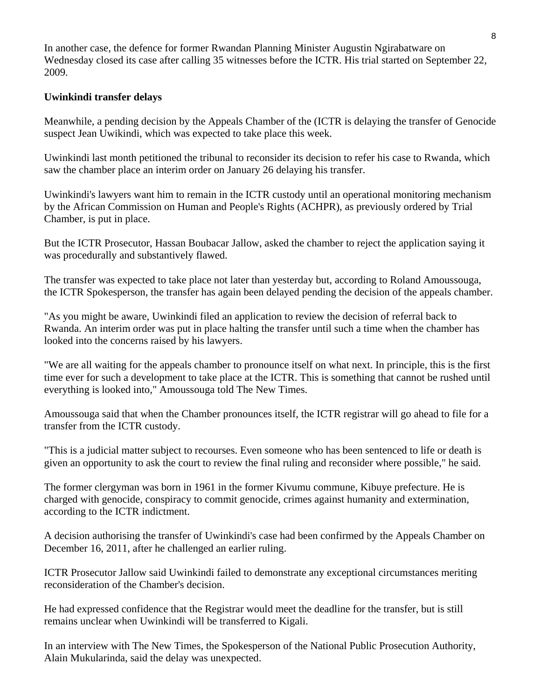In another case, the defence for former Rwandan Planning Minister Augustin Ngirabatware on Wednesday closed its case after calling 35 witnesses before the ICTR. His trial started on September 22, 2009.

## **Uwinkindi transfer delays**

Meanwhile, a pending decision by the Appeals Chamber of the (ICTR is delaying the transfer of Genocide suspect Jean Uwikindi, which was expected to take place this week.

Uwinkindi last month petitioned the tribunal to reconsider its decision to refer his case to Rwanda, which saw the chamber place an interim order on January 26 delaying his transfer.

Uwinkindi's lawyers want him to remain in the ICTR custody until an operational monitoring mechanism by the African Commission on Human and People's Rights (ACHPR), as previously ordered by Trial Chamber, is put in place.

But the ICTR Prosecutor, Hassan Boubacar Jallow, asked the chamber to reject the application saying it was procedurally and substantively flawed.

The transfer was expected to take place not later than yesterday but, according to Roland Amoussouga, the ICTR Spokesperson, the transfer has again been delayed pending the decision of the appeals chamber.

"As you might be aware, Uwinkindi filed an application to review the decision of referral back to Rwanda. An interim order was put in place halting the transfer until such a time when the chamber has looked into the concerns raised by his lawyers.

"We are all waiting for the appeals chamber to pronounce itself on what next. In principle, this is the first time ever for such a development to take place at the ICTR. This is something that cannot be rushed until everything is looked into," Amoussouga told The New Times.

Amoussouga said that when the Chamber pronounces itself, the ICTR registrar will go ahead to file for a transfer from the ICTR custody.

"This is a judicial matter subject to recourses. Even someone who has been sentenced to life or death is given an opportunity to ask the court to review the final ruling and reconsider where possible," he said.

The former clergyman was born in 1961 in the former Kivumu commune, Kibuye prefecture. He is charged with genocide, conspiracy to commit genocide, crimes against humanity and extermination, according to the ICTR indictment.

A decision authorising the transfer of Uwinkindi's case had been confirmed by the Appeals Chamber on December 16, 2011, after he challenged an earlier ruling.

ICTR Prosecutor Jallow said Uwinkindi failed to demonstrate any exceptional circumstances meriting reconsideration of the Chamber's decision.

He had expressed confidence that the Registrar would meet the deadline for the transfer, but is still remains unclear when Uwinkindi will be transferred to Kigali.

In an interview with The New Times, the Spokesperson of the National Public Prosecution Authority, Alain Mukularinda, said the delay was unexpected.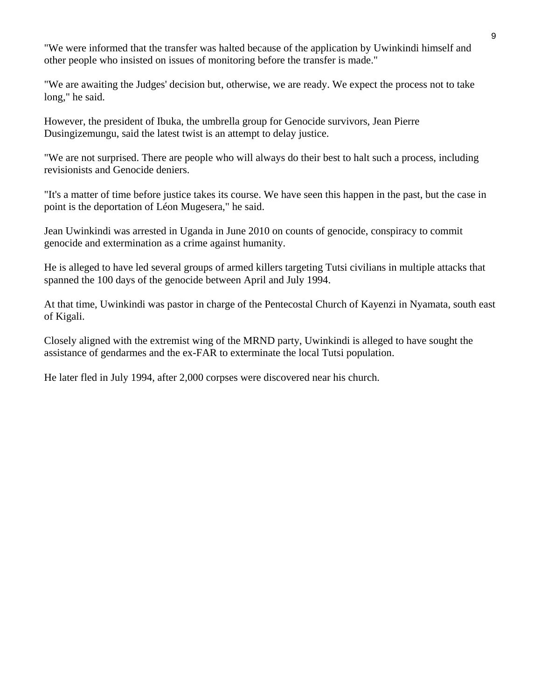"We were informed that the transfer was halted because of the application by Uwinkindi himself and other people who insisted on issues of monitoring before the transfer is made."

"We are awaiting the Judges' decision but, otherwise, we are ready. We expect the process not to take long," he said.

However, the president of Ibuka, the umbrella group for Genocide survivors, Jean Pierre Dusingizemungu, said the latest twist is an attempt to delay justice.

"We are not surprised. There are people who will always do their best to halt such a process, including revisionists and Genocide deniers.

"It's a matter of time before justice takes its course. We have seen this happen in the past, but the case in point is the deportation of Léon Mugesera," he said.

Jean Uwinkindi was arrested in Uganda in June 2010 on counts of genocide, conspiracy to commit genocide and extermination as a crime against humanity.

He is alleged to have led several groups of armed killers targeting Tutsi civilians in multiple attacks that spanned the 100 days of the genocide between April and July 1994.

At that time, Uwinkindi was pastor in charge of the Pentecostal Church of Kayenzi in Nyamata, south east of Kigali.

Closely aligned with the extremist wing of the MRND party, Uwinkindi is alleged to have sought the assistance of gendarmes and the ex-FAR to exterminate the local Tutsi population.

He later fled in July 1994, after 2,000 corpses were discovered near his church.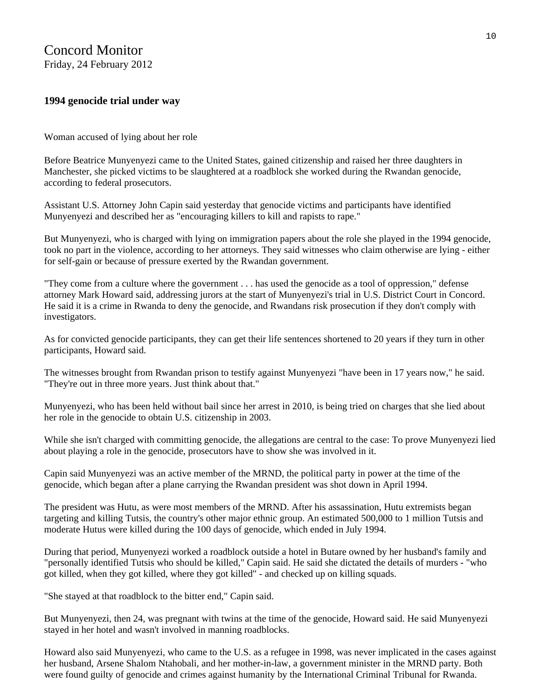## Concord Monitor Friday, 24 February 2012

### **1994 genocide trial under way**

Woman accused of lying about her role

Before Beatrice Munyenyezi came to the United States, gained citizenship and raised her three daughters in Manchester, she picked victims to be slaughtered at a roadblock she worked during the Rwandan genocide, according to federal prosecutors.

Assistant U.S. Attorney John Capin said yesterday that genocide victims and participants have identified Munyenyezi and described her as "encouraging killers to kill and rapists to rape."

But Munyenyezi, who is charged with lying on immigration papers about the role she played in the 1994 genocide, took no part in the violence, according to her attorneys. They said witnesses who claim otherwise are lying - either for self-gain or because of pressure exerted by the Rwandan government.

"They come from a culture where the government . . . has used the genocide as a tool of oppression," defense attorney Mark Howard said, addressing jurors at the start of Munyenyezi's trial in U.S. District Court in Concord. He said it is a crime in Rwanda to deny the genocide, and Rwandans risk prosecution if they don't comply with investigators.

As for convicted genocide participants, they can get their life sentences shortened to 20 years if they turn in other participants, Howard said.

The witnesses brought from Rwandan prison to testify against Munyenyezi "have been in 17 years now," he said. "They're out in three more years. Just think about that."

Munyenyezi, who has been held without bail since her arrest in 2010, is being tried on charges that she lied about her role in the genocide to obtain U.S. citizenship in 2003.

While she isn't charged with committing genocide, the allegations are central to the case: To prove Munyenyezi lied about playing a role in the genocide, prosecutors have to show she was involved in it.

Capin said Munyenyezi was an active member of the MRND, the political party in power at the time of the genocide, which began after a plane carrying the Rwandan president was shot down in April 1994.

The president was Hutu, as were most members of the MRND. After his assassination, Hutu extremists began targeting and killing Tutsis, the country's other major ethnic group. An estimated 500,000 to 1 million Tutsis and moderate Hutus were killed during the 100 days of genocide, which ended in July 1994.

During that period, Munyenyezi worked a roadblock outside a hotel in Butare owned by her husband's family and "personally identified Tutsis who should be killed," Capin said. He said she dictated the details of murders - "who got killed, when they got killed, where they got killed" - and checked up on killing squads.

"She stayed at that roadblock to the bitter end," Capin said.

But Munyenyezi, then 24, was pregnant with twins at the time of the genocide, Howard said. He said Munyenyezi stayed in her hotel and wasn't involved in manning roadblocks.

Howard also said Munyenyezi, who came to the U.S. as a refugee in 1998, was never implicated in the cases against her husband, Arsene Shalom Ntahobali, and her mother-in-law, a government minister in the MRND party. Both were found guilty of genocide and crimes against humanity by the International Criminal Tribunal for Rwanda.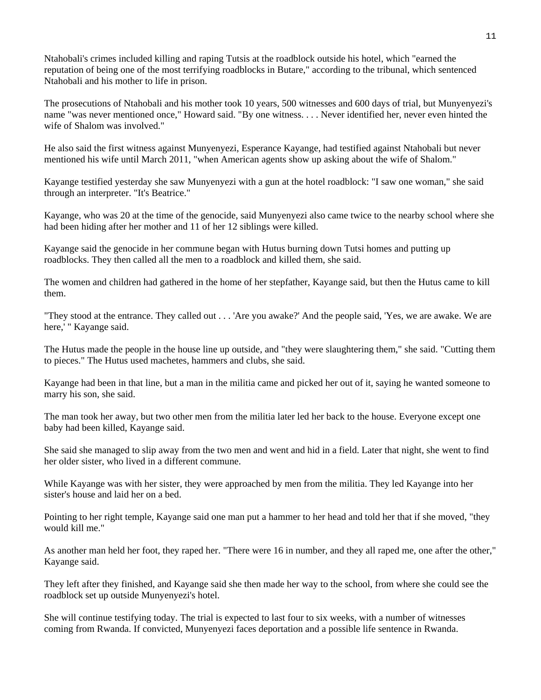Ntahobali's crimes included killing and raping Tutsis at the roadblock outside his hotel, which "earned the reputation of being one of the most terrifying roadblocks in Butare," according to the tribunal, which sentenced Ntahobali and his mother to life in prison.

The prosecutions of Ntahobali and his mother took 10 years, 500 witnesses and 600 days of trial, but Munyenyezi's name "was never mentioned once," Howard said. "By one witness. . . . Never identified her, never even hinted the wife of Shalom was involved."

He also said the first witness against Munyenyezi, Esperance Kayange, had testified against Ntahobali but never mentioned his wife until March 2011, "when American agents show up asking about the wife of Shalom."

Kayange testified yesterday she saw Munyenyezi with a gun at the hotel roadblock: "I saw one woman," she said through an interpreter. "It's Beatrice."

Kayange, who was 20 at the time of the genocide, said Munyenyezi also came twice to the nearby school where she had been hiding after her mother and 11 of her 12 siblings were killed.

Kayange said the genocide in her commune began with Hutus burning down Tutsi homes and putting up roadblocks. They then called all the men to a roadblock and killed them, she said.

The women and children had gathered in the home of her stepfather, Kayange said, but then the Hutus came to kill them.

"They stood at the entrance. They called out . . . 'Are you awake?' And the people said, 'Yes, we are awake. We are here,' " Kayange said.

The Hutus made the people in the house line up outside, and "they were slaughtering them," she said. "Cutting them to pieces." The Hutus used machetes, hammers and clubs, she said.

Kayange had been in that line, but a man in the militia came and picked her out of it, saying he wanted someone to marry his son, she said.

The man took her away, but two other men from the militia later led her back to the house. Everyone except one baby had been killed, Kayange said.

She said she managed to slip away from the two men and went and hid in a field. Later that night, she went to find her older sister, who lived in a different commune.

While Kayange was with her sister, they were approached by men from the militia. They led Kayange into her sister's house and laid her on a bed.

Pointing to her right temple, Kayange said one man put a hammer to her head and told her that if she moved, "they would kill me."

As another man held her foot, they raped her. "There were 16 in number, and they all raped me, one after the other," Kayange said.

They left after they finished, and Kayange said she then made her way to the school, from where she could see the roadblock set up outside Munyenyezi's hotel.

She will continue testifying today. The trial is expected to last four to six weeks, with a number of witnesses coming from Rwanda. If convicted, Munyenyezi faces deportation and a possible life sentence in Rwanda.